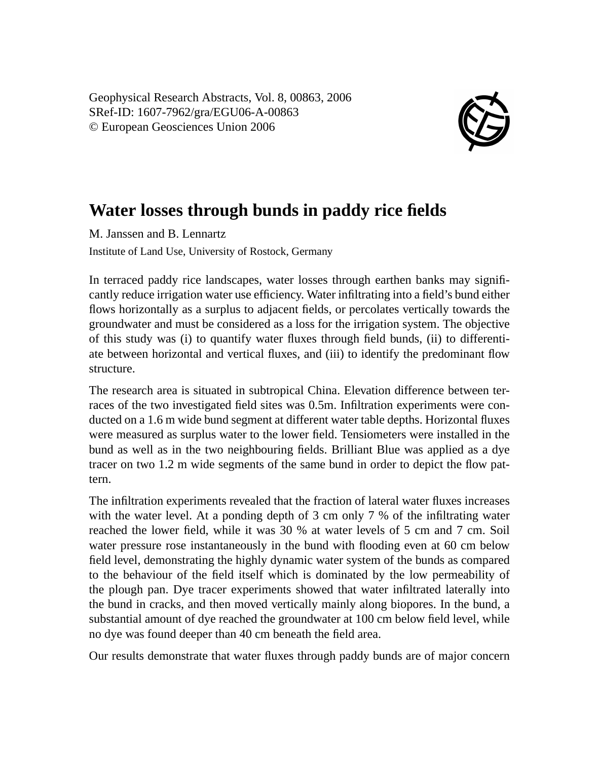Geophysical Research Abstracts, Vol. 8, 00863, 2006 SRef-ID: 1607-7962/gra/EGU06-A-00863 © European Geosciences Union 2006



## **Water losses through bunds in paddy rice fields**

M. Janssen and B. Lennartz Institute of Land Use, University of Rostock, Germany

In terraced paddy rice landscapes, water losses through earthen banks may significantly reduce irrigation water use efficiency. Water infiltrating into a field's bund either flows horizontally as a surplus to adjacent fields, or percolates vertically towards the groundwater and must be considered as a loss for the irrigation system. The objective of this study was (i) to quantify water fluxes through field bunds, (ii) to differentiate between horizontal and vertical fluxes, and (iii) to identify the predominant flow structure.

The research area is situated in subtropical China. Elevation difference between terraces of the two investigated field sites was 0.5m. Infiltration experiments were conducted on a 1.6 m wide bund segment at different water table depths. Horizontal fluxes were measured as surplus water to the lower field. Tensiometers were installed in the bund as well as in the two neighbouring fields. Brilliant Blue was applied as a dye tracer on two 1.2 m wide segments of the same bund in order to depict the flow pattern.

The infiltration experiments revealed that the fraction of lateral water fluxes increases with the water level. At a ponding depth of 3 cm only 7 % of the infiltrating water reached the lower field, while it was 30 % at water levels of 5 cm and 7 cm. Soil water pressure rose instantaneously in the bund with flooding even at 60 cm below field level, demonstrating the highly dynamic water system of the bunds as compared to the behaviour of the field itself which is dominated by the low permeability of the plough pan. Dye tracer experiments showed that water infiltrated laterally into the bund in cracks, and then moved vertically mainly along biopores. In the bund, a substantial amount of dye reached the groundwater at 100 cm below field level, while no dye was found deeper than 40 cm beneath the field area.

Our results demonstrate that water fluxes through paddy bunds are of major concern